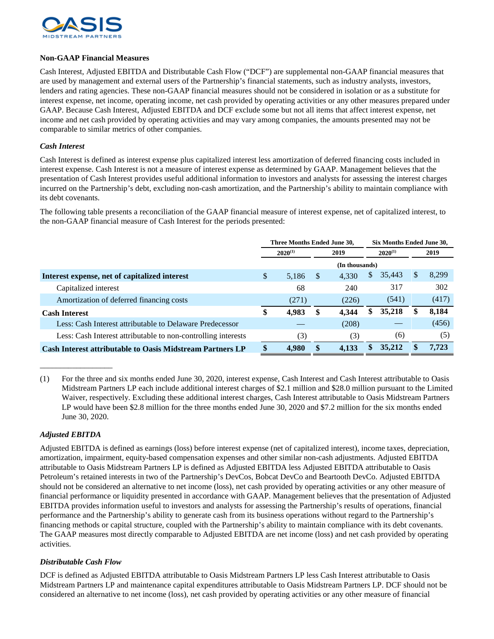

## **Non-GAAP Financial Measures**

Cash Interest, Adjusted EBITDA and Distributable Cash Flow ("DCF") are supplemental non-GAAP financial measures that are used by management and external users of the Partnership's financial statements, such as industry analysts, investors, lenders and rating agencies. These non-GAAP financial measures should not be considered in isolation or as a substitute for interest expense, net income, operating income, net cash provided by operating activities or any other measures prepared under GAAP. Because Cash Interest, Adjusted EBITDA and DCF exclude some but not all items that affect interest expense, net income and net cash provided by operating activities and may vary among companies, the amounts presented may not be comparable to similar metrics of other companies.

## *Cash Interest*

Cash Interest is defined as interest expense plus capitalized interest less amortization of deferred financing costs included in interest expense. Cash Interest is not a measure of interest expense as determined by GAAP. Management believes that the presentation of Cash Interest provides useful additional information to investors and analysts for assessing the interest charges incurred on the Partnership's debt, excluding non-cash amortization, and the Partnership's ability to maintain compliance with its debt covenants.

The following table presents a reconciliation of the GAAP financial measure of interest expense, net of capitalized interest, to the non-GAAP financial measure of Cash Interest for the periods presented:

|                                                                  | Three Months Ended June 30, |                |      |       |              | Six Months Ended June 30, |               |       |  |  |
|------------------------------------------------------------------|-----------------------------|----------------|------|-------|--------------|---------------------------|---------------|-------|--|--|
|                                                                  | $2020^{(1)}$                |                | 2019 |       | $2020^{(1)}$ |                           |               | 2019  |  |  |
|                                                                  |                             | (In thousands) |      |       |              |                           |               |       |  |  |
| Interest expense, net of capitalized interest                    | \$                          | 5,186          | S    | 4,330 | S.           | 35,443                    | <sup>\$</sup> | 8,299 |  |  |
| Capitalized interest                                             |                             | 68             |      | 240   |              | 317                       |               | 302   |  |  |
| Amortization of deferred financing costs                         |                             | (271)          |      | (226) |              | (541)                     |               | (417) |  |  |
| <b>Cash Interest</b>                                             | \$                          | 4,983          | \$   | 4.344 | \$           | 35,218                    | S             | 8,184 |  |  |
| Less: Cash Interest attributable to Delaware Predecessor         |                             |                |      | (208) |              |                           |               | (456) |  |  |
| Less: Cash Interest attributable to non-controlling interests    |                             | (3)            |      | (3)   |              | (6)                       |               | (5)   |  |  |
| <b>Cash Interest attributable to Oasis Midstream Partners LP</b> |                             | 4.980          | \$   | 4,133 |              | 35,212                    |               | 7,723 |  |  |

(1) For the three and six months ended June 30, 2020, interest expense, Cash Interest and Cash Interest attributable to Oasis Midstream Partners LP each include additional interest charges of \$2.1 million and \$28.0 million pursuant to the Limited Waiver, respectively. Excluding these additional interest charges, Cash Interest attributable to Oasis Midstream Partners LP would have been \$2.8 million for the three months ended June 30, 2020 and \$7.2 million for the six months ended June 30, 2020.

## *Adjusted EBITDA*

\_\_\_\_\_\_\_\_\_\_\_\_\_\_\_\_\_\_

Adjusted EBITDA is defined as earnings (loss) before interest expense (net of capitalized interest), income taxes, depreciation, amortization, impairment, equity-based compensation expenses and other similar non-cash adjustments. Adjusted EBITDA attributable to Oasis Midstream Partners LP is defined as Adjusted EBITDA less Adjusted EBITDA attributable to Oasis Petroleum's retained interests in two of the Partnership's DevCos, Bobcat DevCo and Beartooth DevCo. Adjusted EBITDA should not be considered an alternative to net income (loss), net cash provided by operating activities or any other measure of financial performance or liquidity presented in accordance with GAAP. Management believes that the presentation of Adjusted EBITDA provides information useful to investors and analysts for assessing the Partnership's results of operations, financial performance and the Partnership's ability to generate cash from its business operations without regard to the Partnership's financing methods or capital structure, coupled with the Partnership's ability to maintain compliance with its debt covenants. The GAAP measures most directly comparable to Adjusted EBITDA are net income (loss) and net cash provided by operating activities.

## *Distributable Cash Flow*

DCF is defined as Adjusted EBITDA attributable to Oasis Midstream Partners LP less Cash Interest attributable to Oasis Midstream Partners LP and maintenance capital expenditures attributable to Oasis Midstream Partners LP. DCF should not be considered an alternative to net income (loss), net cash provided by operating activities or any other measure of financial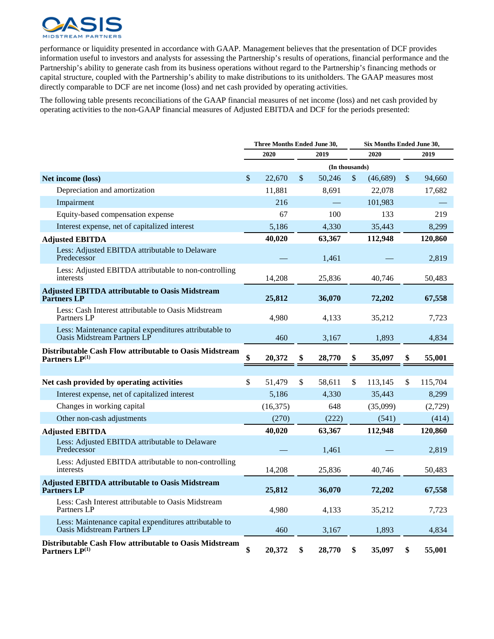

performance or liquidity presented in accordance with GAAP. Management believes that the presentation of DCF provides information useful to investors and analysts for assessing the Partnership's results of operations, financial performance and the Partnership's ability to generate cash from its business operations without regard to the Partnership's financing methods or capital structure, coupled with the Partnership's ability to make distributions to its unitholders. The GAAP measures most directly comparable to DCF are net income (loss) and net cash provided by operating activities.

The following table presents reconciliations of the GAAP financial measures of net income (loss) and net cash provided by operating activities to the non-GAAP financial measures of Adjusted EBITDA and DCF for the periods presented:

|                                                                                              | Three Months Ended June 30, |          |    |        |    | Six Months Ended June 30, |               |         |  |
|----------------------------------------------------------------------------------------------|-----------------------------|----------|----|--------|----|---------------------------|---------------|---------|--|
|                                                                                              |                             | 2020     |    | 2019   |    | 2020                      |               | 2019    |  |
|                                                                                              | (In thousands)              |          |    |        |    |                           |               |         |  |
| Net income (loss)                                                                            | $\mathcal{S}$               | 22,670   | \$ | 50,246 | \$ | (46,689)                  | $\mathcal{S}$ | 94,660  |  |
| Depreciation and amortization                                                                |                             | 11,881   |    | 8.691  |    | 22,078                    |               | 17,682  |  |
| Impairment                                                                                   |                             | 216      |    |        |    | 101,983                   |               |         |  |
| Equity-based compensation expense                                                            |                             | 67       |    | 100    |    | 133                       |               | 219     |  |
| Interest expense, net of capitalized interest                                                |                             | 5,186    |    | 4,330  |    | 35,443                    |               | 8,299   |  |
| <b>Adjusted EBITDA</b>                                                                       |                             | 40,020   |    | 63,367 |    | 112,948                   |               | 120,860 |  |
| Less: Adjusted EBITDA attributable to Delaware<br>Predecessor                                |                             |          |    | 1,461  |    |                           |               | 2,819   |  |
| Less: Adjusted EBITDA attributable to non-controlling<br>interests                           |                             | 14,208   |    | 25,836 |    | 40,746                    |               | 50,483  |  |
| <b>Adjusted EBITDA attributable to Oasis Midstream</b><br><b>Partners LP</b>                 |                             | 25,812   |    | 36,070 |    | 72,202                    |               | 67,558  |  |
| Less: Cash Interest attributable to Oasis Midstream<br>Partners LP                           |                             | 4,980    |    | 4,133  |    | 35,212                    |               | 7,723   |  |
| Less: Maintenance capital expenditures attributable to<br><b>Oasis Midstream Partners LP</b> |                             | 460      |    | 3,167  |    | 1,893                     |               | 4,834   |  |
| Distributable Cash Flow attributable to Oasis Midstream<br>Partners LP <sup>(1)</sup>        | \$<br>20,372                |          | \$ | 28,770 | \$ | 35,097                    | \$            | 55,001  |  |
|                                                                                              |                             |          |    |        |    |                           |               |         |  |
| Net cash provided by operating activities                                                    | \$                          | 51,479   | \$ | 58,611 | \$ | 113,145                   | \$            | 115,704 |  |
| Interest expense, net of capitalized interest                                                |                             | 5,186    |    | 4,330  |    | 35,443                    |               | 8,299   |  |
| Changes in working capital                                                                   |                             | (16,375) |    | 648    |    | (35,099)                  |               | (2,729) |  |
| Other non-cash adjustments                                                                   |                             | (270)    |    | (222)  |    | (541)                     |               | (414)   |  |
| <b>Adjusted EBITDA</b>                                                                       |                             | 40,020   |    | 63,367 |    | 112,948                   |               | 120,860 |  |
| Less: Adjusted EBITDA attributable to Delaware<br>Predecessor                                |                             |          |    | 1,461  |    |                           |               | 2,819   |  |
| Less: Adjusted EBITDA attributable to non-controlling<br>interests                           |                             | 14,208   |    | 25,836 |    | 40,746                    |               | 50,483  |  |
| <b>Adjusted EBITDA attributable to Oasis Midstream</b><br><b>Partners LP</b>                 |                             | 25,812   |    | 36,070 |    | 72,202                    |               | 67,558  |  |
| Less: Cash Interest attributable to Oasis Midstream<br>Partners LP                           |                             | 4,980    |    | 4,133  |    | 35,212                    |               | 7,723   |  |
| Less: Maintenance capital expenditures attributable to<br><b>Oasis Midstream Partners LP</b> |                             | 460      |    | 3,167  |    | 1,893                     |               | 4,834   |  |
| Distributable Cash Flow attributable to Oasis Midstream<br>Partners $LP^{(1)}$               | \$                          | 20,372   | \$ | 28,770 | \$ | 35,097                    | \$            | 55,001  |  |